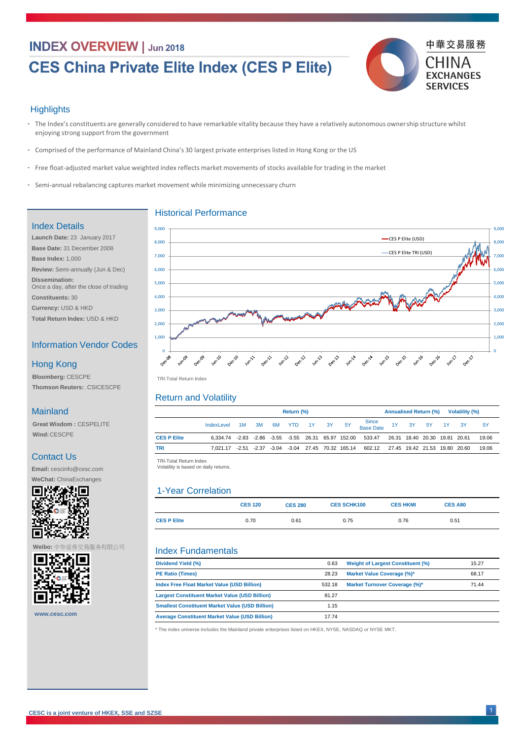## **INDEX OVERVIEW | Jun 2018**

# **CES China Private Elite Index (CES P Elite)**



#### **Highlights**

- The Index's constituents are generally considered to have remarkable vitality because they have a relatively autonomous ownership structure whilst enjoying strong support from the government
- Comprised of the performance of Mainland China's 30 largest private enterprises listed in Hong Kong or the US -
- Free float-adjusted market value weighted index reflects market movements of stocks available for trading in the market
- Semi-annual rebalancing captures market movement while minimizing unnecessary churn

|                    | <b>Return (%)</b>                                   |    |    |  |        |       |    | <b>Annualised Return (%)</b><br><b>Volatility (%)</b> |                                                                                          |  |  |                               |  |  |           |
|--------------------|-----------------------------------------------------|----|----|--|--------|-------|----|-------------------------------------------------------|------------------------------------------------------------------------------------------|--|--|-------------------------------|--|--|-----------|
|                    | IndexLevel                                          | 1M | 3M |  | 6M YTD | $-1Y$ | 3Y | <b>5Y</b>                                             | Since<br>Base Date                                                                       |  |  | 3Y 5Y 1Y 3Y                   |  |  | <b>5Y</b> |
| <b>CES P Elite</b> | 6,334.74 -2.83 -2.86 -3.55 -3.55 26.31 65.97 152.00 |    |    |  |        |       |    |                                                       | 533.47                                                                                   |  |  | 26.31 18.40 20.30 19.81 20.61 |  |  | 19.06     |
| <b>TRI</b>         |                                                     |    |    |  |        |       |    |                                                       | 7,021.17 -2.51 -2.37 -3.04 -3.04 27.45 70.32 165.14 602.12 27.45 19.42 21.53 19.80 20.60 |  |  |                               |  |  | 19.06     |

|                    | <b>CES 120</b> | <b>CES 280</b> | <b>CES SCHK100</b> | <b>CES HKMI</b> | <b>CES A80</b> |  |
|--------------------|----------------|----------------|--------------------|-----------------|----------------|--|
| <b>CES P Elite</b> | 0.70           | 0.61           | 0.75               | 0.76            | 0.51           |  |

| Dividend Yield (%)                                     | 0.63   | <b>Weight of Largest Constituent (%)</b> | 15.27 |
|--------------------------------------------------------|--------|------------------------------------------|-------|
| <b>PE Ratio (Times)</b>                                | 28.23  | <b>Market Value Coverage (%)*</b>        | 68.17 |
| <b>Index Free Float Market Value (USD Billion)</b>     | 532.18 | <b>Market Turnover Coverage (%)*</b>     | 71.44 |
| <b>Largest Constituent Market Value (USD Billion)</b>  | 81.27  |                                          |       |
| <b>Smallest Constituent Market Value (USD Billion)</b> | 1.15   |                                          |       |
| <b>Average Constituent Market Value (USD Billion)</b>  | 17.74  |                                          |       |

| Ŧ |  |
|---|--|

TRI -Total Return Index TRI-Total Return Index

TRI -Total Return Index TRI-Total Return Index

Volatility is based on daily returns. Volatility is based on daily returns.



#### Historical Performance

#### Return and Volatility

#### Index Fundamentals

### Index Details

**Launch Date:** 23 January 2017 **Base Date:** 31 December 2008 **Base Index:** 1,000 **Review:** Semi-annually (Jun & Dec) **Dissemination:**  Once a day, after the close of trading

**Constituents:** 30

**Currency:** USD & HKD

**Total Return Index:** USD & HKD

#### Information Vendor Codes

**Bloomberg:** CESCPE **Thomson Reuters:** .CSICESCPE

#### Hong Kong

#### Mainland

**Great Wisdom :** CESPELITE **Wind:**CESCPE

#### Contact Us

**Email:** cescinfo@cesc.com

**WeChat:** ChinaExchanges



\* The index universe includes the Mainland private enterprises listed on HKEX, NYSE, NASDAQ or NYSE MKT.

**Weibo:** 中华证券交易服务有限公司



**www.cesc.com**

#### 1-Year Correlation

1 **CESC is a joint venture of HKEX, SSE and SZSE**